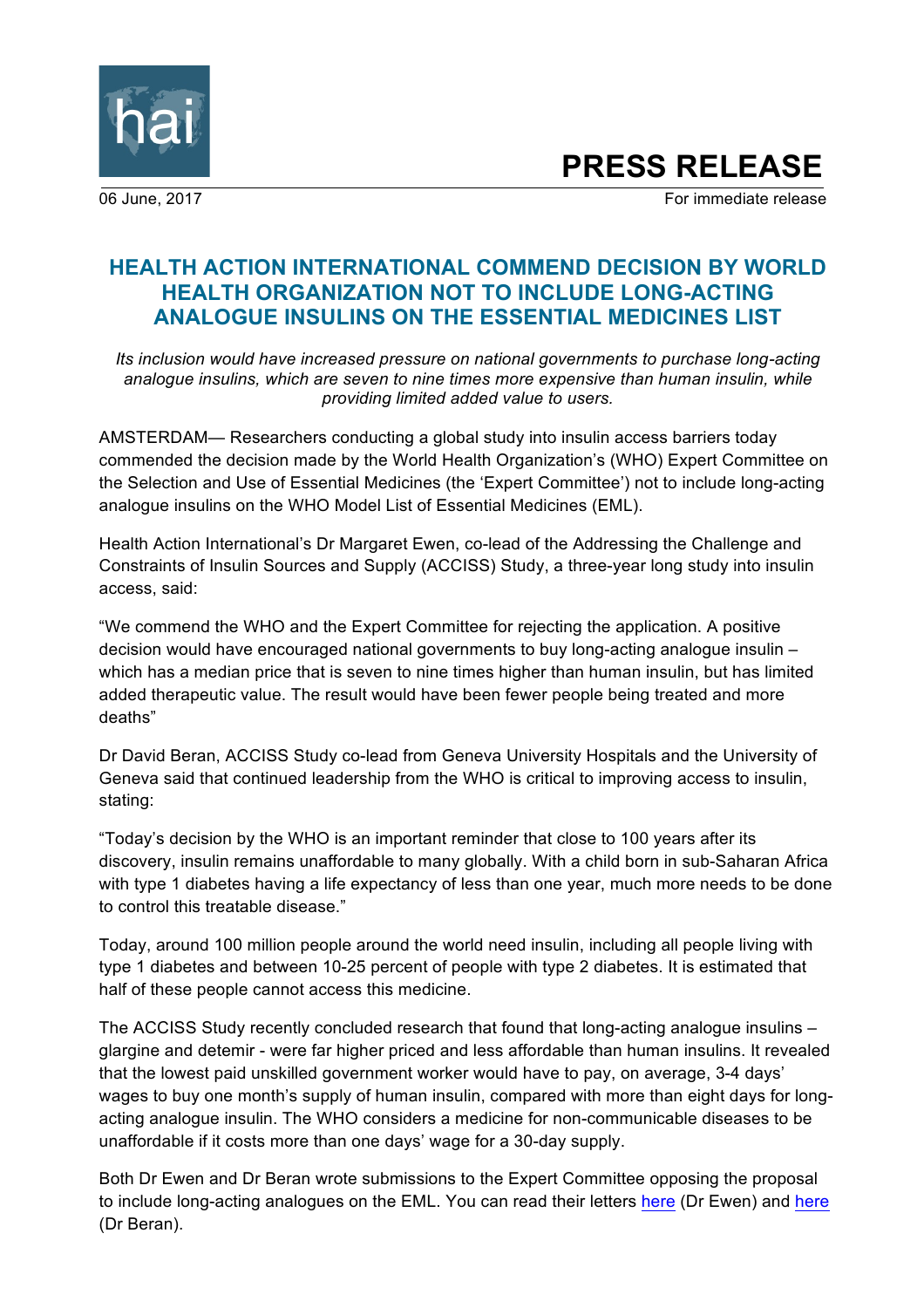

# **PRESS RELEASE**

06 June, 2017 **For immediate release** 

# **HEALTH ACTION INTERNATIONAL COMMEND DECISION BY WORLD HEALTH ORGANIZATION NOT TO INCLUDE LONG-ACTING ANALOGUE INSULINS ON THE ESSENTIAL MEDICINES LIST**

*Its inclusion would have increased pressure on national governments to purchase long-acting analogue insulins, which are seven to nine times more expensive than human insulin, while providing limited added value to users.*

AMSTERDAM— Researchers conducting a global study into insulin access barriers today commended the decision made by the World Health Organization's (WHO) Expert Committee on the Selection and Use of Essential Medicines (the 'Expert Committee') not to include long-acting analogue insulins on the WHO Model List of Essential Medicines (EML).

Health Action International's Dr Margaret Ewen, co-lead of the Addressing the Challenge and Constraints of Insulin Sources and Supply (ACCISS) Study, a three-year long study into insulin access, said:

"We commend the WHO and the Expert Committee for rejecting the application. A positive decision would have encouraged national governments to buy long-acting analogue insulin – which has a median price that is seven to nine times higher than human insulin, but has limited added therapeutic value. The result would have been fewer people being treated and more deaths"

Dr David Beran, ACCISS Study co-lead from Geneva University Hospitals and the University of Geneva said that continued leadership from the WHO is critical to improving access to insulin, stating:

"Today's decision by the WHO is an important reminder that close to 100 years after its discovery, insulin remains unaffordable to many globally. With a child born in sub-Saharan Africa with type 1 diabetes having a life expectancy of less than one year, much more needs to be done to control this treatable disease."

Today, around 100 million people around the world need insulin, including all people living with type 1 diabetes and between 10-25 percent of people with type 2 diabetes. It is estimated that half of these people cannot access this medicine.

The ACCISS Study recently concluded research that found that long-acting analogue insulins – glargine and detemir - were far higher priced and less affordable than human insulins. It revealed that the lowest paid unskilled government worker would have to pay, on average, 3-4 days' wages to buy one month's supply of human insulin, compared with more than eight days for longacting analogue insulin. The WHO considers a medicine for non-communicable diseases to be unaffordable if it costs more than one days' wage for a 30-day supply.

Both Dr Ewen and Dr Beran wrote submissions to the Expert Committee opposing the proposal to include long-acting analogues on the EML. You can read their letters [here](http://bit.ly/2pvXpD4) (Dr Ewen) and [here](http://bit.ly/2oI3jNE) (Dr Beran).